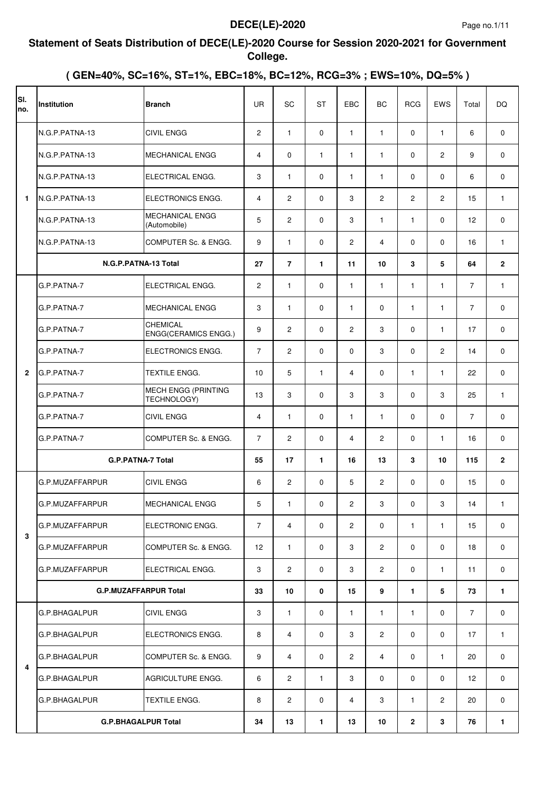#### **Statement of Seats Distribution of DECE(LE)-2020 Course for Session 2020-2021 for Government College.**

| SI.<br>no.     | <b>Institution</b>           | <b>Branch</b>                                  | <b>UR</b>         | SC             | <b>ST</b>    | EBC            | <b>BC</b>      | <b>RCG</b>     | <b>EWS</b>     | Total          | DQ             |
|----------------|------------------------------|------------------------------------------------|-------------------|----------------|--------------|----------------|----------------|----------------|----------------|----------------|----------------|
|                | N.G.P.PATNA-13               | <b>CIVIL ENGG</b>                              | $\overline{2}$    | $\mathbf{1}$   | $\mathbf 0$  | $\mathbf{1}$   | $\mathbf{1}$   | $\mathbf 0$    | $\mathbf{1}$   | 6              | $\mathbf 0$    |
|                | N.G.P.PATNA-13               | <b>MECHANICAL ENGG</b>                         | $\overline{4}$    | $\mathbf{0}$   | 1            | $\mathbf{1}$   | $\mathbf{1}$   | $\mathbf 0$    | 2              | 9              | 0              |
|                | N.G.P.PATNA-13               | ELECTRICAL ENGG.                               | 3                 | $\mathbf{1}$   | $\mathbf 0$  | 1              | $\mathbf{1}$   | $\mathbf 0$    | $\mathbf 0$    | 6              | 0              |
| 1              | N.G.P.PATNA-13               | ELECTRONICS ENGG.                              | $\overline{4}$    | $\overline{2}$ | $\mathbf 0$  | 3              | $\overline{2}$ | $\overline{2}$ | $\overline{2}$ | 15             | $\mathbf{1}$   |
|                | N.G.P.PATNA-13               | <b>MECHANICAL ENGG</b><br>(Automobile)         | 5                 | $\overline{2}$ | $\mathbf 0$  | 3              | $\mathbf{1}$   | $\mathbf{1}$   | $\mathbf 0$    | 12             | 0              |
|                | N.G.P.PATNA-13               | COMPUTER Sc. & ENGG.                           | 9                 | $\mathbf{1}$   | $\mathbf 0$  | $\overline{2}$ | $\overline{4}$ | $\mathbf 0$    | $\mathbf 0$    | 16             | $\mathbf{1}$   |
|                | N.G.P.PATNA-13 Total         |                                                | 27                | $\overline{7}$ | $\mathbf{1}$ | 11             | 10             | 3              | 5              | 64             | $\overline{2}$ |
|                | G.P.PATNA-7                  | ELECTRICAL ENGG.                               | $\overline{2}$    | $\mathbf{1}$   | $\mathbf 0$  | $\mathbf{1}$   | $\mathbf{1}$   | $\mathbf{1}$   | $\mathbf{1}$   | $\overline{7}$ | $\mathbf{1}$   |
|                | G.P.PATNA-7                  | <b>MECHANICAL ENGG</b>                         | 3                 | $\mathbf{1}$   | $\mathbf 0$  | $\mathbf{1}$   | $\mathbf 0$    | $\mathbf{1}$   | $\mathbf{1}$   | $\overline{7}$ | $\mathbf 0$    |
|                | G.P.PATNA-7                  | <b>CHEMICAL</b><br><b>ENGG(CERAMICS ENGG.)</b> | 9                 | $\overline{2}$ | $\mathbf 0$  | $\overline{2}$ | 3              | $\mathbf 0$    | $\mathbf{1}$   | 17             | 0              |
|                | G.P.PATNA-7                  | ELECTRONICS ENGG.                              | $\overline{7}$    | $\overline{2}$ | $\mathbf 0$  | 0              | 3              | 0              | $\overline{2}$ | 14             | $\mathbf 0$    |
| $\overline{2}$ | G.P.PATNA-7                  | TEXTILE ENGG.                                  | 10                | 5              | $\mathbf{1}$ | 4              | $\mathbf 0$    | $\mathbf{1}$   | $\mathbf{1}$   | 22             | 0              |
|                | G.P.PATNA-7                  | MECH ENGG (PRINTING<br>TECHNOLOGY)             | 13                | 3              | $\mathbf 0$  | 3              | 3              | $\mathbf 0$    | 3              | 25             | $\mathbf{1}$   |
|                | G.P.PATNA-7                  | <b>CIVIL ENGG</b>                              | $\overline{4}$    | $\mathbf{1}$   | $\mathbf 0$  | $\mathbf{1}$   | $\mathbf{1}$   | 0              | $\Omega$       | $\overline{7}$ | 0              |
|                | G.P.PATNA-7                  | COMPUTER Sc. & ENGG.                           | $\overline{7}$    | $\overline{2}$ | $\mathbf 0$  | 4              | $\overline{c}$ | 0              | $\mathbf{1}$   | 16             | 0              |
|                | <b>G.P.PATNA-7 Total</b>     |                                                | 55                | 17             | 1            | 16             | 13             | 3              | 10             | 115            | $\overline{2}$ |
|                | G.P.MUZAFFARPUR              | <b>CIVIL ENGG</b>                              | 6                 | $\overline{c}$ | $\mathbf 0$  | 5              | $\mathbf{2}$   | $\mathbf 0$    | $\mathbf 0$    | 15             | $\mathbf 0$    |
|                | G.P.MUZAFFARPUR              | MECHANICAL ENGG                                | 5                 | 1              | 0            | 2              | 3              | 0              | 3              | 14             | 1              |
| 3              | G.P.MUZAFFARPUR              | ELECTRONIC ENGG.                               | $\overline{7}$    | $\overline{4}$ | $\mathbf 0$  | $\overline{2}$ | $\mathbf 0$    | $\mathbf{1}$   | $\mathbf{1}$   | 15             | $\mathbf 0$    |
|                | G.P.MUZAFFARPUR              | COMPUTER Sc. & ENGG.                           | $12 \overline{ }$ | $\mathbf{1}$   | $\mathbf 0$  | 3              | $\overline{2}$ | 0              | $\mathbf 0$    | 18             | 0              |
|                | G.P.MUZAFFARPUR              | ELECTRICAL ENGG.                               | 3                 | $\overline{2}$ | $\mathbf 0$  | 3              | $\overline{c}$ | 0              | $\mathbf{1}$   | 11             | $\mathbf 0$    |
|                | <b>G.P.MUZAFFARPUR Total</b> |                                                | 33                | 10             | 0            | 15             | 9              | 1.             | 5              | 73             | $\mathbf{1}$   |
|                | G.P.BHAGALPUR                | <b>CIVIL ENGG</b>                              | 3                 | $\mathbf{1}$   | $\mathbf 0$  | $\mathbf{1}$   | $\mathbf{1}$   | $\mathbf{1}$   | $\mathbf 0$    | $\overline{7}$ | $\mathbf 0$    |
|                | G.P.BHAGALPUR                | ELECTRONICS ENGG.                              | 8                 | $\overline{4}$ | $\mathbf 0$  | 3              | $\overline{2}$ | 0              | $\mathbf 0$    | 17             | $\mathbf{1}$   |
|                | G.P.BHAGALPUR                | COMPUTER Sc. & ENGG.                           | 9                 | $\overline{4}$ | $\mathbf 0$  | $\overline{c}$ | $\overline{4}$ | 0              | $\mathbf{1}$   | 20             | 0              |
| 4              | G.P.BHAGALPUR                | AGRICULTURE ENGG.                              | 6                 | $\overline{2}$ | $\mathbf{1}$ | 3              | $\mathbf 0$    | $\Omega$       | $\Omega$       | 12             | 0              |
|                | G.P.BHAGALPUR                | TEXTILE ENGG.                                  | 8                 | $\overline{2}$ | $\mathbf 0$  | 4              | 3              | $\mathbf{1}$   | $\overline{2}$ | 20             | 0              |
|                | <b>G.P.BHAGALPUR Total</b>   |                                                | 34                | 13             | 1            | 13             | 10             | $\mathbf{2}$   | 3              | 76             | $\mathbf{1}$   |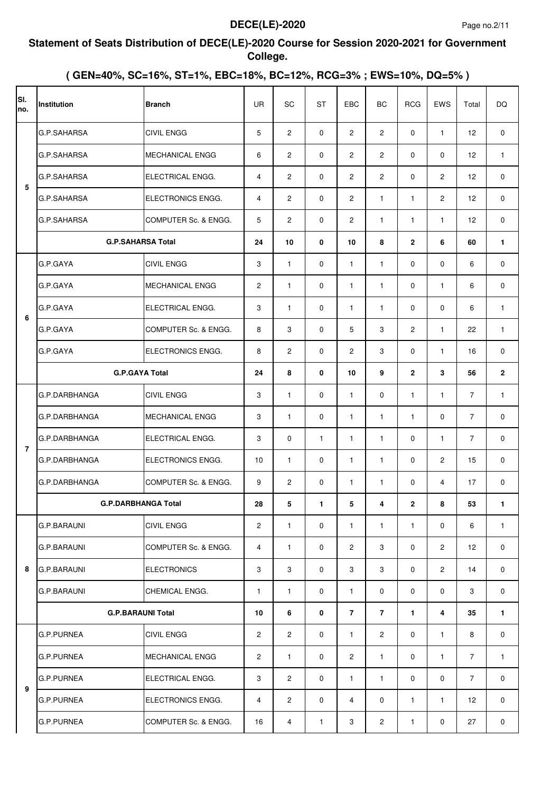#### **Statement of Seats Distribution of DECE(LE)-2020 Course for Session 2020-2021 for Government College.**

| SI.<br>no.     | Institution                | <b>Branch</b>          | <b>UR</b>             | SC             | <b>ST</b>    | EBC                  | BC                    | <b>RCG</b>     | EWS            | Total          | <b>DQ</b>    |
|----------------|----------------------------|------------------------|-----------------------|----------------|--------------|----------------------|-----------------------|----------------|----------------|----------------|--------------|
|                | G.P.SAHARSA                | <b>CIVIL ENGG</b>      | 5                     | $\overline{c}$ | $\mathbf 0$  | $\overline{2}$       | $\overline{2}$        | 0              | $\mathbf{1}$   | 12             | $\mathbf 0$  |
|                | G.P.SAHARSA                | <b>MECHANICAL ENGG</b> | 6                     | $\overline{2}$ | $\mathbf 0$  | $\overline{c}$       | $\mathbf{2}^{\prime}$ | $\Omega$       | $\Omega$       | 12             | 1            |
| 5              | G.P.SAHARSA                | ELECTRICAL ENGG.       | 4                     | $\overline{c}$ | $\mathbf 0$  | $\overline{c}$       | $\overline{2}$        | 0              | 2              | 12             | 0            |
|                | G.P.SAHARSA                | ELECTRONICS ENGG.      | $\overline{4}$        | $\overline{2}$ | $\mathbf 0$  | 2                    | $\mathbf{1}$          | $\mathbf{1}$   | 2              | 12             | 0            |
|                | G.P.SAHARSA                | COMPUTER Sc. & ENGG.   | 5                     | $\overline{c}$ | $\mathbf 0$  | $\overline{c}$       | $\mathbf{1}$          | $\mathbf{1}$   | $\mathbf{1}$   | 12             | 0            |
|                | <b>G.P.SAHARSA Total</b>   |                        | 24                    | 10             | $\mathbf{0}$ | 10                   | 8                     | $\overline{2}$ | 6              | 60             | 1            |
|                | G.P.GAYA                   | <b>CIVIL ENGG</b>      | 3                     | $\mathbf{1}$   | $\Omega$     | $\mathbf{1}$         | $\mathbf{1}$          | $\Omega$       | $\Omega$       | 6              | 0            |
|                | G.P.GAYA                   | MECHANICAL ENGG        | $\overline{2}$        | $\mathbf{1}$   | $\mathbf 0$  | $\mathbf{1}$         | $\mathbf{1}$          | $\Omega$       | $\mathbf{1}$   | 6              | 0            |
| 6              | G.P.GAYA                   | ELECTRICAL ENGG.       | 3                     | $\mathbf{1}$   | $\Omega$     | $\mathbf{1}$         | $\mathbf{1}$          | $\Omega$       | $\Omega$       | 6              | $\mathbf{1}$ |
|                | G.P.GAYA                   | COMPUTER Sc. & ENGG.   | 8                     | 3              | $\Omega$     | 5                    | 3                     | $\overline{c}$ | $\mathbf{1}$   | 22             | $\mathbf{1}$ |
|                | G.P.GAYA                   | ELECTRONICS ENGG.      | 8                     | $\overline{2}$ | $\Omega$     | $\overline{2}$       | 3                     | $\Omega$       | $\mathbf{1}$   | 16             | 0            |
|                | <b>G.P.GAYA Total</b>      |                        | 24                    | 8              | $\mathbf 0$  | 10                   | 9                     | $\overline{2}$ | 3              | 56             | $\mathbf{2}$ |
|                | G.P.DARBHANGA              | <b>CIVIL ENGG</b>      | 3                     | $\mathbf{1}$   | $\Omega$     | $\mathbf{1}$         | $\mathbf 0$           | $\mathbf{1}$   | $\mathbf{1}$   | $\overline{7}$ | $\mathbf{1}$ |
|                | G.P.DARBHANGA              | <b>MECHANICAL ENGG</b> | 3                     | $\mathbf{1}$   | $\mathbf 0$  | $\mathbf{1}$         | $\mathbf{1}$          | $\mathbf{1}$   | $\Omega$       | $\overline{7}$ | $\mathbf 0$  |
| $\overline{7}$ | G.P.DARBHANGA              | ELECTRICAL ENGG.       | 3                     | $\mathbf{0}$   | $\mathbf{1}$ | $\mathbf{1}$         | $\mathbf{1}$          | 0              | $\mathbf{1}$   | $\overline{7}$ | $\mathbf 0$  |
|                | G.P.DARBHANGA              | ELECTRONICS ENGG.      | 10                    | $\mathbf{1}$   | $\Omega$     | $\mathbf{1}$         | $\mathbf{1}$          | 0              | 2              | 15             | $\mathbf 0$  |
|                | G.P.DARBHANGA              | COMPUTER Sc. & ENGG.   | 9                     | $\overline{2}$ | $\mathbf 0$  | $\mathbf{1}$         | $\mathbf{1}$          | 0              | $\overline{4}$ | 17             | 0            |
|                | <b>G.P.DARBHANGA Total</b> |                        | 28                    | 5              | $\mathbf{1}$ | 5                    | 4                     | 2              | 8              | 53             | 1.           |
|                | <b>G.P.BARAUNI</b>         | <b>CIVIL ENGG</b>      | $\overline{c}$        | $\mathbf{1}$   | $\mathbf 0$  | $\mathbf{1}$         | $\mathbf{1}$          | $\mathbf{1}$   | 0              | 6              | $\mathbf{1}$ |
|                | <b>G.P.BARAUNI</b>         | COMPUTER Sc. & ENGG.   | 4                     | $\mathbf{1}$   | 0            | $\overline{2}$       | 3                     | $\mathbf 0$    | $\overline{2}$ | 12             | 0            |
| 8              | G.P.BARAUNI                | <b>ELECTRONICS</b>     | 3                     | 3              | 0            | 3                    | 3                     | 0              | $\overline{2}$ | 14             | 0            |
|                | <b>G.P.BARAUNI</b>         | CHEMICAL ENGG.         | $\mathbf{1}$          | $\mathbf{1}$   | 0            | $\mathbf{1}$         | 0                     | 0              | 0              | 3              | 0            |
|                | <b>G.P.BARAUNI Total</b>   |                        | 10                    | 6              | 0            | $\overline{7}$       | $\overline{7}$        | 1              | 4              | 35             | 1.           |
|                | <b>G.P.PURNEA</b>          | <b>CIVIL ENGG</b>      | $\overline{2}$        | $\overline{2}$ | 0            | $\mathbf{1}$         | $\mathbf{2}$          | 0              | $\mathbf{1}$   | 8              | 0            |
|                | <b>G.P.PURNEA</b>          | <b>MECHANICAL ENGG</b> | $\mathbf{2}^{\prime}$ | $\mathbf{1}$   | 0            | $\mathbf{2}^{\circ}$ | $\mathbf{1}$          | 0              | $\mathbf{1}$   | 7              | $\mathbf{1}$ |
| 9              | <b>G.P.PURNEA</b>          | ELECTRICAL ENGG.       | 3                     | $\overline{2}$ | $\mathbf 0$  | $\mathbf{1}$         | $\mathbf{1}$          | $\mathbf 0$    | 0              | 7              | 0            |
|                | <b>G.P.PURNEA</b>          | ELECTRONICS ENGG.      | 4                     | $\overline{2}$ | 0            | 4                    | 0                     | $\mathbf{1}$   | $\mathbf{1}$   | 12             | 0            |
|                | <b>G.P.PURNEA</b>          | COMPUTER Sc. & ENGG.   | 16                    | $\overline{4}$ | $\mathbf{1}$ | 3                    | $\overline{2}$        | 1              | 0              | 27             | 0            |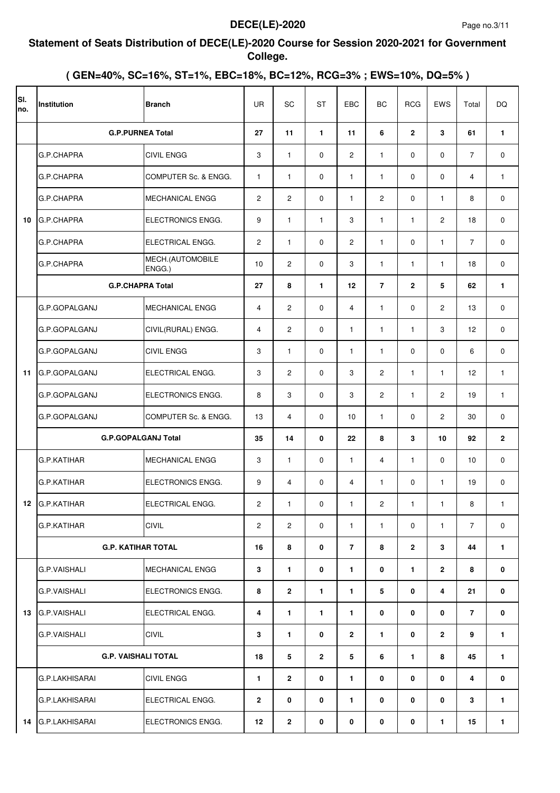#### **Statement of Seats Distribution of DECE(LE)-2020 Course for Session 2020-2021 for Government College.**

| SI.<br>no. | Institution                | <b>Branch</b>              | <b>UR</b>      | SC             | <b>ST</b>      | EBC            | <b>BC</b>      | <b>RCG</b>   | <b>EWS</b>     | Total          | <b>DQ</b>      |
|------------|----------------------------|----------------------------|----------------|----------------|----------------|----------------|----------------|--------------|----------------|----------------|----------------|
|            | <b>G.P.PURNEA Total</b>    |                            | 27             | 11             | 1              | 11             | 6              | $\mathbf{2}$ | 3              | 61             | $\mathbf{1}$   |
|            | G.P.CHAPRA                 | <b>CIVIL ENGG</b>          | 3              | $\mathbf{1}$   | $\mathbf{0}$   | $\overline{2}$ | $\mathbf{1}$   | 0            | $\mathbf 0$    | $\overline{7}$ | $\mathbf 0$    |
|            | G.P.CHAPRA                 | COMPUTER Sc. & ENGG.       | 1              | $\mathbf{1}$   | $\mathbf 0$    | $\mathbf{1}$   | $\mathbf{1}$   | $\mathbf 0$  | $\mathbf{0}$   | 4              | $\mathbf{1}$   |
|            | G.P.CHAPRA                 | <b>MECHANICAL ENGG</b>     | $\mathbf{2}$   | $\overline{c}$ | $\mathbf{0}$   | $\mathbf{1}$   | $\overline{c}$ | 0            | $\mathbf{1}$   | 8              | 0              |
| 10         | G.P.CHAPRA                 | ELECTRONICS ENGG.          | 9              | $\mathbf{1}$   | $\mathbf{1}$   | 3              | $\mathbf{1}$   | $\mathbf{1}$ | $\overline{c}$ | 18             | 0              |
|            | G.P.CHAPRA                 | ELECTRICAL ENGG.           | 2              | $\mathbf{1}$   | $\mathbf 0$    | $\overline{2}$ | $\mathbf{1}$   | $\mathbf 0$  | $\mathbf{1}$   | $\overline{7}$ | 0              |
|            | G.P.CHAPRA                 | MECH.(AUTOMOBILE<br>ENGG.) | 10             | $\overline{2}$ | $\mathbf 0$    | 3              | $\mathbf{1}$   | $\mathbf{1}$ | $\mathbf{1}$   | 18             | $\mathbf 0$    |
|            | <b>G.P.CHAPRA Total</b>    |                            | 27             | 8              | $\mathbf{1}$   | 12             | $\overline{7}$ | $\mathbf{2}$ | 5              | 62             | 1              |
|            | G.P.GOPALGANJ              | MECHANICAL ENGG            | 4              | $\overline{2}$ | $\mathbf 0$    | 4              | $\mathbf{1}$   | $\mathbf 0$  | $\overline{2}$ | 13             | 0              |
|            | G.P.GOPALGANJ              | CIVIL(RURAL) ENGG.         | 4              | $\overline{c}$ | $\mathbf 0$    | $\mathbf{1}$   | 1              | $\mathbf{1}$ | 3              | 12             | 0              |
|            | G.P.GOPALGANJ              | <b>CIVIL ENGG</b>          | 3              | $\mathbf{1}$   | $\mathbf 0$    | $\mathbf{1}$   | 1              | $\mathbf 0$  | $\mathbf 0$    | 6              | 0              |
| 11         | G.P.GOPALGANJ              | ELECTRICAL ENGG.           | 3              | $\overline{2}$ | $\Omega$       | 3              | $\mathbf{2}$   | $\mathbf{1}$ | $\mathbf{1}$   | 12             | $\mathbf{1}$   |
|            | G.P.GOPALGANJ              | ELECTRONICS ENGG.          | 8              | 3              | $\mathbf 0$    | 3              | $\overline{2}$ | $\mathbf{1}$ | $\overline{2}$ | 19             | $\mathbf{1}$   |
|            | G.P.GOPALGANJ              | COMPUTER Sc. & ENGG.       | 13             | $\overline{4}$ | $\mathbf 0$    | 10             | $\mathbf{1}$   | $\mathbf 0$  | $\overline{2}$ | 30             | 0              |
|            | <b>G.P.GOPALGANJ Total</b> |                            | 35             | 14             | $\mathbf 0$    | 22             | 8              | 3            | 10             | 92             | $\overline{2}$ |
|            | <b>G.P.KATIHAR</b>         | <b>MECHANICAL ENGG</b>     | 3              | $\mathbf{1}$   | $\mathbf 0$    | $\mathbf{1}$   | $\overline{4}$ | $\mathbf{1}$ | $\mathbf{0}$   | 10             | 0              |
|            | <b>G.P.KATIHAR</b>         | ELECTRONICS ENGG.          | 9              | $\overline{4}$ | $\mathbf 0$    | $\overline{4}$ | $\mathbf{1}$   | $\mathbf 0$  | $\mathbf{1}$   | 19             | 0              |
|            | 12 G.P.KATIHAR             | ELECTRICAL ENGG.           | 2              | 1              | 0              | 1              | 2              | $\mathbf{1}$ | $\mathbf{1}$   | 8              | 1              |
|            | G.P.KATIHAR                | <b>CIVIL</b>               | $\overline{c}$ | $\overline{2}$ | $\mathbf 0$    | $\mathbf{1}$   | $\mathbf{1}$   | 0            | $\mathbf{1}$   | $\overline{7}$ | 0              |
|            | <b>G.P. KATIHAR TOTAL</b>  |                            | 16             | 8              | 0              | $\overline{7}$ | 8              | $\mathbf{2}$ | 3              | 44             | $\mathbf{1}$   |
|            | G.P.VAISHALI               | <b>MECHANICAL ENGG</b>     | 3              | $\mathbf{1}$   | $\mathbf 0$    | $\mathbf{1}$   | 0              | 1            | $\overline{2}$ | 8              | 0              |
|            | <b>G.P.VAISHALI</b>        | ELECTRONICS ENGG.          | 8              | $\overline{2}$ | $\mathbf{1}$   | 1              | 5              | 0            | 4              | 21             | 0              |
| 13         | <b>G.P.VAISHALI</b>        | ELECTRICAL ENGG.           | 4              | $\mathbf{1}$   | $\mathbf{1}$   | 1              | 0              | 0            | 0              | $\overline{7}$ | 0              |
|            | <b>G.P.VAISHALI</b>        | <b>CIVIL</b>               | 3              | $\mathbf{1}$   | 0              | $\overline{2}$ | $\mathbf{1}$   | 0            | $\overline{2}$ | 9              | 1              |
|            | <b>G.P. VAISHALI TOTAL</b> |                            | 18             | 5              | $\overline{2}$ | 5              | 6              | 1.           | 8              | 45             | 1              |
|            | G.P.LAKHISARAI             | <b>CIVIL ENGG</b>          | 1              | $\overline{2}$ | 0              | 1              | 0              | 0            | 0              | 4              | 0              |
|            | G.P.LAKHISARAI             | ELECTRICAL ENGG.           | $\overline{2}$ | 0              | 0              | 1              | 0              | 0            | 0              | 3              | 1              |
| 14         | <b>G.P.LAKHISARAI</b>      | ELECTRONICS ENGG.          | 12             | $\overline{2}$ | 0              | 0              | 0              | 0            | 1              | 15             | 1              |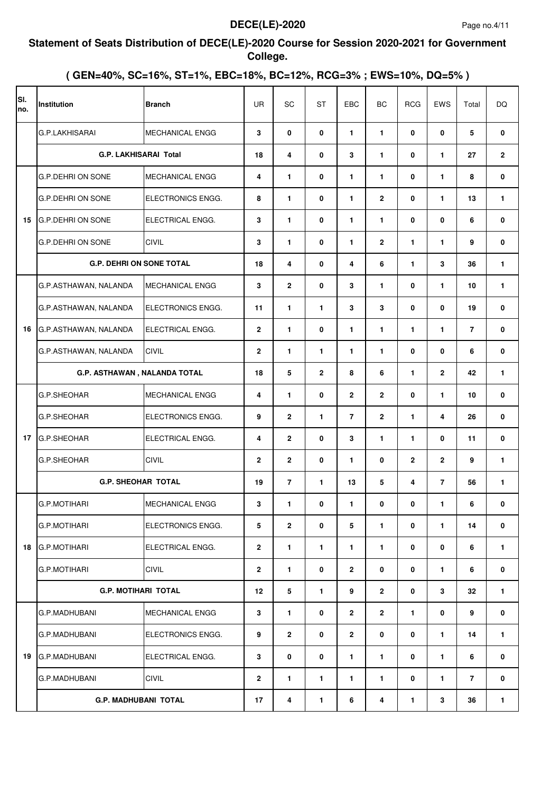#### **Statement of Seats Distribution of DECE(LE)-2020 Course for Session 2020-2021 for Government College.**

| SI.<br>no. | Institution                     | <b>Branch</b>            | <b>UR</b>      | SC                      | <b>ST</b>    | EBC            | <b>BC</b>      | <b>RCG</b>     | <b>EWS</b>              | Total | <b>DQ</b>      |
|------------|---------------------------------|--------------------------|----------------|-------------------------|--------------|----------------|----------------|----------------|-------------------------|-------|----------------|
|            | <b>G.P.LAKHISARAI</b>           | <b>MECHANICAL ENGG</b>   | 3              | 0                       | $\mathbf 0$  | 1              | $\mathbf{1}$   | 0              | $\mathbf 0$             | 5     | 0              |
|            | <b>G.P. LAKHISARAI Total</b>    |                          | 18             | 4                       | 0            | 3              | $\mathbf{1}$   | 0              | $\mathbf{1}$            | 27    | $\overline{2}$ |
|            | G.P.DEHRI ON SONE               | <b>MECHANICAL ENGG</b>   | 4              | $\mathbf{1}$            | $\mathbf 0$  | 1              | 1              | 0              | 1                       | 8     | 0              |
|            | <b>G.P.DEHRI ON SONE</b>        | ELECTRONICS ENGG.        | 8              | $\mathbf{1}$            | 0            | 1              | $\mathbf{2}$   | 0              | $\mathbf{1}$            | 13    | 1              |
| 15         | <b>G.P.DEHRI ON SONE</b>        | ELECTRICAL ENGG.         | 3              | $\mathbf{1}$            | $\mathbf{0}$ | 1              | $\mathbf{1}$   | 0              | $\mathbf{0}$            | 6     | 0              |
|            | <b>G.P.DEHRI ON SONE</b>        | <b>CIVIL</b>             | 3              | $\mathbf{1}$            | $\mathbf 0$  | 1              | $\mathbf{2}$   | $\blacksquare$ | $\mathbf{1}$            | 9     | 0              |
|            | <b>G.P. DEHRI ON SONE TOTAL</b> |                          | 18             | $\overline{\mathbf{4}}$ | $\mathbf 0$  | 4              | 6              | $\blacksquare$ | 3                       | 36    | 1              |
|            | G.P.ASTHAWAN, NALANDA           | <b>MECHANICAL ENGG</b>   | 3              | $\overline{\mathbf{2}}$ | $\mathbf 0$  | 3              | 1              | 0              | $\mathbf{1}$            | 10    | 1              |
|            | G.P.ASTHAWAN, NALANDA           | ELECTRONICS ENGG.        | 11             | $\mathbf{1}$            | $\mathbf{1}$ | 3              | 3              | 0              | $\mathbf{0}$            | 19    | 0              |
| 16         | G.P.ASTHAWAN, NALANDA           | ELECTRICAL ENGG.         | $\mathbf{2}$   | $\mathbf{1}$            | 0            | 1              | 1              | $\blacksquare$ | $\mathbf{1}$            | 7     | 0              |
|            | G.P.ASTHAWAN, NALANDA           | <b>CIVIL</b>             | $\mathbf{2}$   | $\mathbf{1}$            | $\mathbf{1}$ | 1.             | 1              | 0              | $\mathbf{0}$            | 6     | 0              |
|            | G.P. ASTHAWAN, NALANDA TOTAL    |                          | 18             | $5\phantom{.0}$         | $\mathbf{2}$ | 8              | 6              | $\mathbf{1}$   | $\mathbf{2}$            | 42    | 1              |
|            | G.P.SHEOHAR                     | <b>MECHANICAL ENGG</b>   | 4              | $\mathbf{1}$            | 0            | $\mathbf{2}$   | $\mathbf{2}$   | 0              | $\mathbf{1}$            | 10    | 0              |
|            | G.P.SHEOHAR                     | ELECTRONICS ENGG.        | 9              | $\overline{2}$          | $\mathbf{1}$ | $\overline{7}$ | $\overline{2}$ | $\blacksquare$ | $\overline{\mathbf{4}}$ | 26    | $\mathbf{0}$   |
| 17         | <b>G.P.SHEOHAR</b>              | ELECTRICAL ENGG.         | 4              | $\overline{2}$          | $\mathbf 0$  | 3              | $\mathbf{1}$   | 1.             | $\mathbf{0}$            | 11    | 0              |
|            | G.P.SHEOHAR                     | <b>CIVIL</b>             | $\overline{2}$ | $\overline{2}$          | 0            | 1.             | 0              | $\mathbf{2}$   | $\overline{2}$          | 9     | 1              |
|            | <b>G.P. SHEOHAR TOTAL</b>       |                          | 19             | $\overline{7}$          | $\mathbf{1}$ | 13             | 5              | 4              | $\overline{7}$          | 56    | 1              |
|            | <b>G.P.MOTIHARI</b>             | <b>MECHANICAL ENGG</b>   | 3              | 1                       | 0            | 1              | 0              | 0              | 1                       | 6     | 0              |
|            | G.P.MOTIHARI                    | <b>ELECTRONICS ENGG.</b> | 5              | $\overline{2}$          | 0            | 5              | 1              | 0              | $\mathbf{1}$            | 14    | 0              |
| 18         | <b>G.P.MOTIHARI</b>             | ELECTRICAL ENGG.         | $\overline{2}$ | $\mathbf{1}$            | $\mathbf{1}$ | $\mathbf{1}$   | 1              | 0              | 0                       | 6     | $\mathbf{1}$   |
|            | G.P.MOTIHARI                    | <b>CIVIL</b>             | $\mathbf{2}$   | $\mathbf{1}$            | 0            | $\overline{2}$ | 0              | 0              | $\mathbf{1}$            | 6     | 0              |
|            | <b>G.P. MOTIHARI TOTAL</b>      |                          | 12             | 5                       | $\mathbf{1}$ | 9              | $\overline{2}$ | 0              | 3                       | 32    | $\mathbf{1}$   |
|            | G.P.MADHUBANI                   | <b>MECHANICAL ENGG</b>   | 3              | $\mathbf{1}$            | 0            | $\mathbf{2}$   | $\overline{2}$ | 1.             | 0                       | 9     | 0              |
|            | G.P.MADHUBANI                   | ELECTRONICS ENGG.        | 9              | $\overline{2}$          | 0            | $\overline{2}$ | 0              | 0              | $\mathbf{1}$            | 14    | 1              |
| 19         | <b>G.P.MADHUBANI</b>            | ELECTRICAL ENGG.         | 3              | 0                       | 0            | 1.             | 1              | 0              | 1                       | 6     | 0              |
|            | G.P.MADHUBANI                   | <b>CIVIL</b>             | $\overline{2}$ | $\mathbf{1}$            | 1            | 1              | 1              | 0              | $\mathbf{1}$            | 7     | 0              |
|            | <b>G.P. MADHUBANI TOTAL</b>     |                          | 17             | 4                       | $\mathbf{1}$ | 6              | 4              | 1.             | 3                       | 36    | 1              |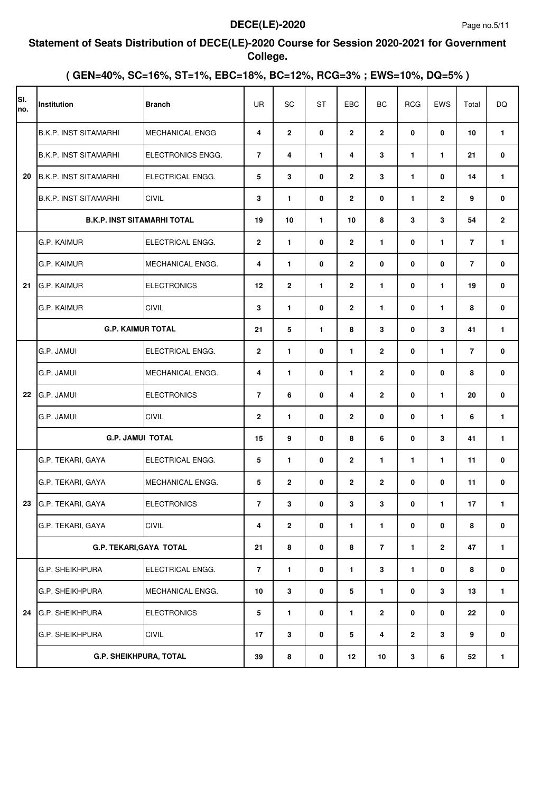#### **Statement of Seats Distribution of DECE(LE)-2020 Course for Session 2020-2021 for Government College.**

| SI.<br>no. | Institution                        | <b>Branch</b>          | <b>UR</b>      | SC             | <b>ST</b>    | EBC            | BC             | <b>RCG</b>     | EWS            | Total          | <b>DQ</b>    |
|------------|------------------------------------|------------------------|----------------|----------------|--------------|----------------|----------------|----------------|----------------|----------------|--------------|
|            | <b>B.K.P. INST SITAMARHI</b>       | <b>MECHANICAL ENGG</b> | 4              | $\mathbf{2}$   | $\mathbf 0$  | $\overline{2}$ | $\overline{2}$ | 0              | 0              | 10             | $\mathbf{1}$ |
|            | <b>B.K.P. INST SITAMARHI</b>       | ELECTRONICS ENGG.      | $\overline{7}$ | 4              | $\mathbf{1}$ | 4              | 3              | $\blacksquare$ | $\mathbf{1}$   | 21             | 0            |
| 20         | <b>B.K.P. INST SITAMARHI</b>       | ELECTRICAL ENGG.       | 5              | 3              | 0            | $\overline{2}$ | 3              | $\blacksquare$ | 0              | 14             | 1            |
|            | <b>B.K.P. INST SITAMARHI</b>       | <b>CIVIL</b>           | 3              | $\mathbf{1}$   | 0            | $\mathbf{2}$   | 0              | $\blacksquare$ | $\mathbf{2}$   | 9              | 0            |
|            | <b>B.K.P. INST SITAMARHI TOTAL</b> |                        | 19             | 10             | $\mathbf{1}$ | 10             | 8              | 3              | 3              | 54             | $\mathbf{2}$ |
|            | <b>G.P. KAIMUR</b>                 | ELECTRICAL ENGG.       | $\mathbf{2}$   | $\mathbf{1}$   | 0            | $\overline{2}$ | $\mathbf{1}$   | 0              | $\mathbf{1}$   | $\overline{7}$ | 1            |
|            | <b>G.P. KAIMUR</b>                 | MECHANICAL ENGG.       | 4              | $\mathbf{1}$   | 0            | $\overline{2}$ | 0              | $\mathbf{0}$   | $\mathbf{0}$   | $\overline{7}$ | 0            |
| 21         | G.P. KAIMUR                        | <b>ELECTRONICS</b>     | 12             | $\overline{2}$ | $\mathbf{1}$ | $\overline{2}$ | $\mathbf{1}$   | 0              | $\mathbf{1}$   | 19             | 0            |
|            | G.P. KAIMUR                        | <b>CIVIL</b>           | 3              | $\mathbf{1}$   | 0            | $\overline{2}$ | $\mathbf{1}$   | $\mathbf{0}$   | $\mathbf{1}$   | 8              | 0            |
|            | <b>G.P. KAIMUR TOTAL</b>           |                        | 21             | 5              | 1            | 8              | 3              | 0              | 3              | 41             | 1            |
|            | G.P. JAMUI                         | ELECTRICAL ENGG.       | $\overline{2}$ | $\mathbf{1}$   | 0            | $\mathbf{1}$   | $\overline{2}$ | $\mathbf{0}$   | $\mathbf{1}$   | $\overline{7}$ | 0            |
|            | G.P. JAMUI                         | MECHANICAL ENGG.       | 4              | $\mathbf{1}$   | 0            | $\mathbf{1}$   | $\mathbf{2}$   | 0              | 0              | 8              | 0            |
| 22         | G.P. JAMUI                         | <b>ELECTRONICS</b>     | $\overline{7}$ | 6              | 0            | 4              | $\overline{2}$ | $\mathbf{0}$   | $\mathbf{1}$   | 20             | 0            |
|            | G.P. JAMUI                         | <b>CIVIL</b>           | $\mathbf{2}$   | $\mathbf{1}$   | 0            | $\overline{2}$ | 0              | $\mathbf{0}$   | $\mathbf{1}$   | 6              | 1            |
|            | <b>G.P. JAMUI TOTAL</b>            |                        | 15             | 9              | 0            | 8              | 6              | 0              | 3              | 41             | 1            |
|            | G.P. TEKARI, GAYA                  | ELECTRICAL ENGG.       | 5              | $\mathbf{1}$   | 0            | $\overline{2}$ | $\mathbf{1}$   | $\blacksquare$ | $\mathbf{1}$   | 11             | 0            |
|            | G.P. TEKARI, GAYA                  | MECHANICAL ENGG.       | 5              | $\mathbf{2}$   | 0            | $\overline{2}$ | $\overline{2}$ | 0              | $\mathbf{0}$   | 11             | 0            |
|            | 23 G.P. TEKARI, GAYA               | <b>ELECTRONICS</b>     | 7              | 3              | 0            | 3              | 3              | 0              | 1              | 17             | 1.           |
|            | G.P. TEKARI, GAYA                  | <b>CIVIL</b>           | 4              | $\mathbf{2}$   | 0            | 1              | 1              | 0              | 0              | 8              | 0            |
|            | G.P. TEKARI, GAYA TOTAL            |                        | 21             | 8              | $\mathbf 0$  | 8              | $\overline{7}$ | 1.             | $\overline{2}$ | 47             | $\mathbf{1}$ |
|            | <b>G.P. SHEIKHPURA</b>             | ELECTRICAL ENGG.       | $\overline{7}$ | $\mathbf{1}$   | $\mathbf 0$  | $\mathbf{1}$   | $\mathbf{3}$   | $\blacksquare$ | 0              | 8              | 0            |
|            | G.P. SHEIKHPURA                    | MECHANICAL ENGG.       | 10             | $\mathbf{3}$   | $\mathbf 0$  | 5              | $\mathbf{1}$   | 0              | 3              | 13             | 1            |
| 24         | G.P. SHEIKHPURA                    | <b>ELECTRONICS</b>     | 5              | $\mathbf{1}$   | 0            | $\mathbf{1}$   | $\overline{2}$ | 0              | 0              | 22             | 0            |
|            | G.P. SHEIKHPURA                    | <b>CIVIL</b>           | 17             | 3              | 0            | 5              | 4              | $\mathbf{2}$   | 3              | 9              | 0            |
|            | G.P. SHEIKHPURA, TOTAL             |                        | 39             | 8              | 0            | 12             | 10             | 3              | 6              | 52             | 1            |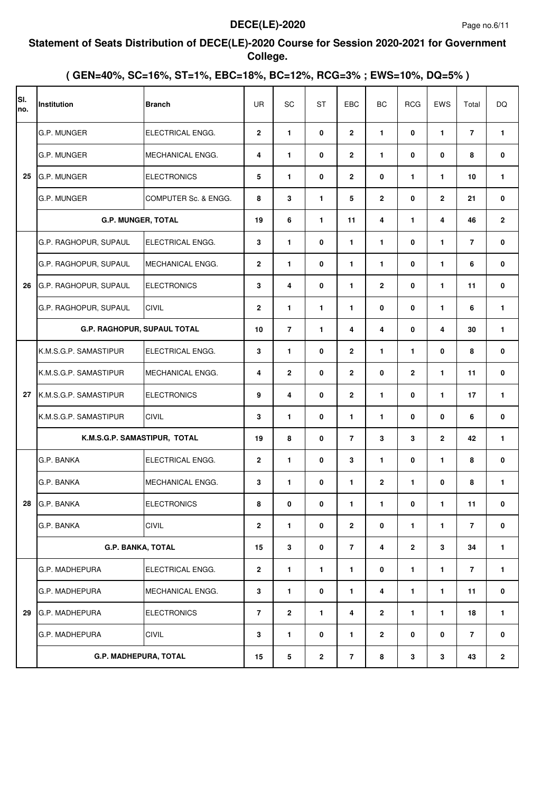#### **Statement of Seats Distribution of DECE(LE)-2020 Course for Session 2020-2021 for Government College.**

| SI.<br>no. | Institution                  | <b>Branch</b>           | UR             | SC                      | <b>ST</b>    | EBC            | BC             | <b>RCG</b>     | EWS            | Total          | <b>DQ</b>    |
|------------|------------------------------|-------------------------|----------------|-------------------------|--------------|----------------|----------------|----------------|----------------|----------------|--------------|
|            | G.P. MUNGER                  | ELECTRICAL ENGG.        | $\overline{2}$ | $\mathbf{1}$            | 0            | $\mathbf{2}$   | $\mathbf{1}$   | 0              | $\mathbf{1}$   | $\overline{7}$ | $\mathbf{1}$ |
|            | G.P. MUNGER                  | MECHANICAL ENGG.        | 4              | $\mathbf{1}$            | 0            | $\mathbf{2}$   | $\mathbf{1}$   | 0              | 0              | 8              | 0            |
| 25         | G.P. MUNGER                  | <b>ELECTRONICS</b>      | 5              | $\mathbf{1}$            | 0            | $\mathbf{2}$   | 0              | $\mathbf{1}$   | 1              | 10             | 1            |
|            | G.P. MUNGER                  | COMPUTER Sc. & ENGG.    | 8              | 3                       | $\mathbf{1}$ | 5              | $\mathbf{2}$   | 0              | $\mathbf{2}$   | 21             | 0            |
|            | <b>G.P. MUNGER, TOTAL</b>    |                         | 19             | 6                       | 1            | 11             | 4              | 1.             | 4              | 46             | $\mathbf{2}$ |
|            | G.P. RAGHOPUR, SUPAUL        | ELECTRICAL ENGG.        | 3              | $\mathbf{1}$            | 0            | 1.             | 1              | 0              | $\mathbf{1}$   | $\overline{7}$ | 0            |
|            | G.P. RAGHOPUR, SUPAUL        | MECHANICAL ENGG.        | $\overline{2}$ | $\mathbf{1}$            | 0            | 1              | $\mathbf{1}$   | 0              | $\mathbf{1}$   | 6              | 0            |
| 26         | G.P. RAGHOPUR, SUPAUL        | <b>ELECTRONICS</b>      | 3              | $\overline{\mathbf{4}}$ | 0            | 1              | $\mathbf{2}$   | 0              | $\mathbf{1}$   | 11             | 0            |
|            | G.P. RAGHOPUR, SUPAUL        | <b>CIVIL</b>            | $\overline{2}$ | $\mathbf{1}$            | $\mathbf{1}$ | 1              | 0              | 0              | $\mathbf{1}$   | 6              | 1            |
|            | G.P. RAGHOPUR, SUPAUL TOTAL  |                         | 10             | $\overline{7}$          | $\mathbf{1}$ | 4              | 4              | 0              | 4              | 30             | 1            |
|            | K.M.S.G.P. SAMASTIPUR        | ELECTRICAL ENGG.        | 3              | $\mathbf{1}$            | 0            | $\mathbf{2}$   | 1              | $\blacksquare$ | $\mathbf{0}$   | 8              | 0            |
|            | K.M.S.G.P. SAMASTIPUR        | <b>MECHANICAL ENGG.</b> | 4              | $\overline{2}$          | 0            | $\mathbf{2}$   | 0              | $\mathbf{2}$   | 1              | 11             | 0            |
| 27         | K.M.S.G.P. SAMASTIPUR        | <b>ELECTRONICS</b>      | 9              | $\overline{\mathbf{4}}$ | 0            | $\mathbf{2}$   | $\mathbf{1}$   | 0              | $\mathbf{1}$   | 17             | 1            |
|            | K.M.S.G.P. SAMASTIPUR        | <b>CIVIL</b>            | 3              | $\mathbf{1}$            | 0            | 1.             | $\mathbf{1}$   | 0              | $\mathbf{0}$   | 6              | 0            |
|            | K.M.S.G.P. SAMASTIPUR, TOTAL |                         | 19             | 8                       | 0            | $\overline{7}$ | 3              | 3              | $\overline{2}$ | 42             | 1            |
|            | G.P. BANKA                   | ELECTRICAL ENGG.        | $\overline{2}$ | $\mathbf{1}$            | 0            | 3              | 1              | 0              | $\mathbf{1}$   | 8              | 0            |
|            | G.P. BANKA                   | <b>MECHANICAL ENGG.</b> | 3              | $\mathbf{1}$            | 0            | 1              | $\mathbf{2}$   | 1.             | 0              | 8              | 1            |
| 28         | G.P. BANKA                   | <b>ELECTRONICS</b>      | 8              | 0                       | 0            | 1              | 1              | 0              | 1              | 11             | 0            |
|            | G.P. BANKA                   | CIVIL                   | $\mathbf{2}$   | $\mathbf{1}$            | 0            | $\mathbf{2}$   | 0              | 1.             | 1              | $\overline{7}$ | 0            |
|            | <b>G.P. BANKA, TOTAL</b>     |                         | 15             | 3                       | 0            | $\overline{7}$ | 4              | $\mathbf{2}$   | 3              | 34             | 1            |
|            | G.P. MADHEPURA               | ELECTRICAL ENGG.        | $\mathbf{2}$   | $\mathbf{1}$            | 1            | 1              | $\mathbf 0$    | 1              | $\mathbf{1}$   | $\overline{7}$ | 1.           |
|            | G.P. MADHEPURA               | MECHANICAL ENGG.        | 3              | $\mathbf{1}$            | $\mathbf 0$  | $\mathbf{1}$   | 4              | 1              | $\mathbf{1}$   | 11             | 0            |
| 29         | G.P. MADHEPURA               | <b>ELECTRONICS</b>      | $\overline{7}$ | $\overline{2}$          | 1            | 4              | $\overline{2}$ | 1              | 1              | 18             | 1.           |
|            | G.P. MADHEPURA               | CIVIL                   | 3              | $\mathbf{1}$            | 0            | 1              | 2              | 0              | 0              | $\overline{7}$ | 0            |
|            | G.P. MADHEPURA, TOTAL        |                         | 15             | 5                       | $\mathbf{2}$ | 7              | 8              | 3              | 3              | 43             | $\mathbf{2}$ |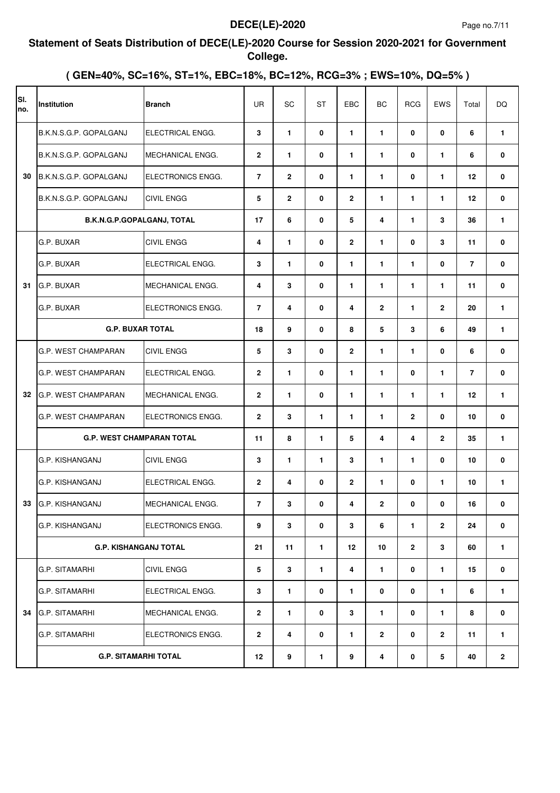#### **Statement of Seats Distribution of DECE(LE)-2020 Course for Session 2020-2021 for Government College.**

| SI.<br>no. | Institution                      | <b>Branch</b>           | <b>UR</b>      | SC             | <b>ST</b>    | EBC            | BC                      | <b>RCG</b>     | EWS            | Total          | <b>DQ</b>    |
|------------|----------------------------------|-------------------------|----------------|----------------|--------------|----------------|-------------------------|----------------|----------------|----------------|--------------|
|            | B.K.N.S.G.P. GOPALGANJ           | ELECTRICAL ENGG.        | 3              | $\mathbf{1}$   | 0            | $\mathbf{1}$   | $\mathbf{1}$            | 0              | $\mathbf 0$    | 6              | $\mathbf{1}$ |
|            | B.K.N.S.G.P. GOPALGANJ           | MECHANICAL ENGG.        | $\overline{2}$ | $\mathbf{1}$   | 0            | $\mathbf{1}$   | $\mathbf{1}$            | $\mathbf{0}$   | $\mathbf{1}$   | 6              | 0            |
| 30         | B.K.N.S.G.P. GOPALGANJ           | ELECTRONICS ENGG.       | $\overline{7}$ | $\overline{2}$ | 0            | 1              | $\mathbf{1}$            | 0              | $\mathbf{1}$   | 12             | 0            |
|            | B.K.N.S.G.P. GOPALGANJ           | <b>CIVIL ENGG</b>       | 5              | $\mathbf{2}$   | 0            | $\overline{2}$ | $\mathbf{1}$            | $\blacksquare$ | $\mathbf{1}$   | $12 \,$        | 0            |
|            | B.K.N.G.P.GOPALGANJ, TOTAL       |                         | 17             | 6              | 0            | 5              | 4                       | 1.             | 3              | 36             | 1            |
|            | G.P. BUXAR                       | <b>CIVIL ENGG</b>       | 4              | $\mathbf{1}$   | 0            | $\overline{2}$ | $\mathbf{1}$            | $\mathbf{0}$   | 3              | 11             | 0            |
|            | G.P. BUXAR                       | ELECTRICAL ENGG.        | 3              | $\mathbf{1}$   | 0            | $\mathbf{1}$   | $\mathbf{1}$            | $\blacksquare$ | $\mathbf{0}$   | $\overline{7}$ | 0            |
| 31         | G.P. BUXAR                       | MECHANICAL ENGG.        | 4              | 3              | $\mathbf 0$  | $\mathbf{1}$   | $\mathbf{1}$            | $\blacksquare$ | $\mathbf{1}$   | 11             | 0            |
|            | G.P. BUXAR                       | ELECTRONICS ENGG.       | $\overline{7}$ | 4              | 0            | 4              | $\overline{2}$          | $\blacksquare$ | $\overline{2}$ | 20             | 1            |
|            | <b>G.P. BUXAR TOTAL</b>          |                         | 18             | 9              | 0            | 8              | 5                       | 3              | 6              | 49             | 1            |
|            | G.P. WEST CHAMPARAN              | <b>CIVIL ENGG</b>       | 5              | 3              | 0            | $\overline{2}$ | $\mathbf{1}$            | $\blacksquare$ | $\mathbf{0}$   | 6              | 0            |
|            | G.P. WEST CHAMPARAN              | ELECTRICAL ENGG.        | $\mathbf{2}$   | $\mathbf{1}$   | 0            | $\mathbf{1}$   | $\mathbf{1}$            | 0              | $\mathbf{1}$   | $\overline{7}$ | 0            |
| 32         | <b>G.P. WEST CHAMPARAN</b>       | MECHANICAL ENGG.        | $\overline{2}$ | $\mathbf{1}$   | 0            | 1              | $\mathbf{1}$            | 1.             | $\mathbf{1}$   | 12             | 1            |
|            | G.P. WEST CHAMPARAN              | ELECTRONICS ENGG.       | $\overline{2}$ | 3              | $\mathbf{1}$ | $\mathbf{1}$   | $\mathbf{1}$            | $\mathbf{2}$   | $\mathbf{0}$   | 10             | 0            |
|            | <b>G.P. WEST CHAMPARAN TOTAL</b> |                         | 11             | 8              | $\mathbf{1}$ | 5              | $\overline{\mathbf{4}}$ | 4              | $\overline{2}$ | 35             | 1            |
|            | G.P. KISHANGANJ                  | <b>CIVIL ENGG</b>       | 3              | $\mathbf{1}$   | $\mathbf{1}$ | 3              | $\mathbf{1}$            | 1.             | $\mathbf{0}$   | 10             | 0            |
|            | IG.P. KISHANGANJ                 | ELECTRICAL ENGG.        | $\overline{2}$ | 4              | 0            | $\mathbf{2}$   | $\mathbf{1}$            | 0              | $\mathbf{1}$   | 10             | 1            |
|            | 33 G.P. KISHANGANJ               | <b>MECHANICAL ENGG.</b> | 7              | 3              | 0            | 4              | 2                       | 0              | 0              | 16             | 0            |
|            | G.P. KISHANGANJ                  | ELECTRONICS ENGG.       | 9              | 3              | 0            | 3              | 6                       | $\mathbf{1}$   | $\mathbf{2}$   | 24             | 0            |
|            | <b>G.P. KISHANGANJ TOTAL</b>     |                         | 21             | 11             | $\mathbf{1}$ | 12             | 10                      | $\mathbf{2}$   | 3              | 60             | 1            |
|            | <b>G.P. SITAMARHI</b>            | CIVIL ENGG              | 5              | 3              | $\mathbf{1}$ | 4              | $\mathbf{1}$            | 0              | 1              | 15             | 0            |
|            | <b>G.P. SITAMARHI</b>            | ELECTRICAL ENGG.        | 3              | $\mathbf{1}$   | 0            | 1              | 0                       | 0              | $\mathbf{1}$   | 6              | 1            |
| 34         | <b>G.P. SITAMARHI</b>            | <b>MECHANICAL ENGG.</b> | $\overline{2}$ | $\mathbf{1}$   | 0            | 3              | 1                       | 0              | 1              | 8              | 0            |
|            | G.P. SITAMARHI                   | ELECTRONICS ENGG.       | $\overline{2}$ | 4              | 0            | 1              | $\overline{2}$          | 0              | $\mathbf{2}$   | 11             | 1            |
|            | <b>G.P. SITAMARHI TOTAL</b>      |                         | 12             | 9              | 1            | 9              | 4                       | 0              | 5              | 40             | $\mathbf{2}$ |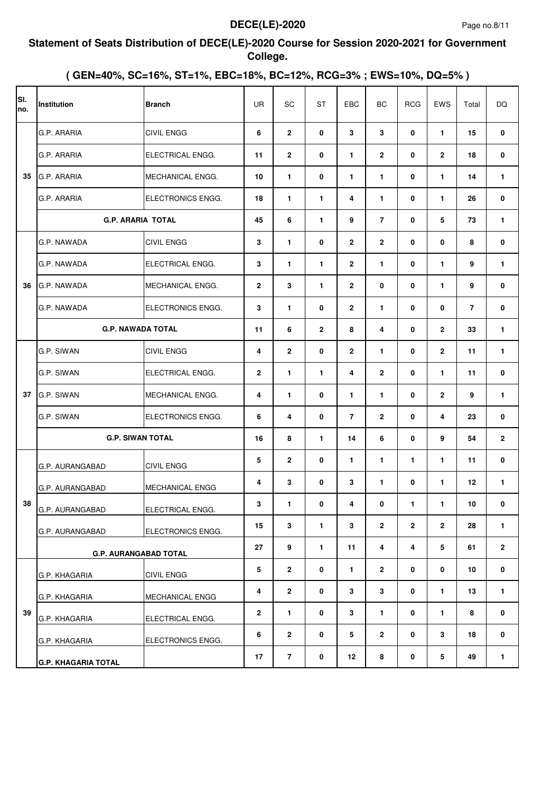#### **Statement of Seats Distribution of DECE(LE)-2020 Course for Session 2020-2021 for Government College.**

| SI.<br>Ino. | Institution                | <b>Branch</b>                | <b>UR</b>      | SC                      | <b>ST</b>    | EBC            | BC                      | <b>RCG</b>   | EWS          | Total   | DQ             |
|-------------|----------------------------|------------------------------|----------------|-------------------------|--------------|----------------|-------------------------|--------------|--------------|---------|----------------|
|             | G.P. ARARIA                | <b>CIVIL ENGG</b>            | 6              | $\mathbf{2}$            | 0            | 3              | 3                       | 0            | $\mathbf{1}$ | 15      | 0              |
|             | G.P. ARARIA                | ELECTRICAL ENGG.             | 11             | $\mathbf{2}$            | 0            | 1              | $\overline{2}$          | 0            | $\mathbf{2}$ | 18      | 0              |
| 35          | G.P. ARARIA                | <b>MECHANICAL ENGG.</b>      | 10             | $\mathbf{1}$            | 0            | 1              | $\mathbf{1}$            | 0            | 1            | 14      | 1              |
|             | G.P. ARARIA                | <b>ELECTRONICS ENGG.</b>     | 18             | $\mathbf{1}$            | 1            | 4              | 1                       | 0            | 1            | 26      | 0              |
|             |                            | <b>G.P. ARARIA TOTAL</b>     | 45             | 6                       | $\mathbf{1}$ | 9              | $\overline{7}$          | 0            | 5            | 73      | 1              |
|             | G.P. NAWADA                | CIVIL ENGG                   | 3              | $\mathbf{1}$            | 0            | $\mathbf{2}$   | $\overline{2}$          | 0            | 0            | 8       | 0              |
|             | G.P. NAWADA                | ELECTRICAL ENGG.             | 3              | $\mathbf{1}$            | $\mathbf{1}$ | $\mathbf{2}$   | $\mathbf{1}$            | 0            | 1            | 9       | 1              |
| 36          | G.P. NAWADA                | MECHANICAL ENGG.             | $\overline{2}$ | 3                       | $\mathbf{1}$ | $\mathbf{2}$   | 0                       | 0            | 1            | 9       | 0              |
|             | G.P. NAWADA                | ELECTRONICS ENGG.            | 3              | $\mathbf{1}$            | 0            | $\mathbf{2}$   | $\mathbf{1}$            | 0            | 0            | 7       | 0              |
|             |                            | <b>G.P. NAWADA TOTAL</b>     | 11             | 6                       | $\mathbf{2}$ | 8              | $\overline{\mathbf{4}}$ | 0            | $\mathbf{2}$ | 33      | 1              |
|             | G.P. SIWAN                 | <b>CIVIL ENGG</b>            | 4              | $\mathbf{2}$            | 0            | $\mathbf{2}$   | 1                       | 0            | $\mathbf{2}$ | 11      | 1              |
|             | G.P. SIWAN                 | ELECTRICAL ENGG.             | $\mathbf{2}$   | $\mathbf{1}$            | 1            | 4              | $\mathbf{2}$            | 0            | 1            | 11      | 0              |
| 37          | G.P. SIWAN                 | MECHANICAL ENGG.             | 4              | $\mathbf{1}$            | $\mathbf{0}$ | 1              | $\mathbf{1}$            | 0            | $\mathbf{2}$ | 9       | 1              |
|             | G.P. SIWAN                 | ELECTRONICS ENGG.            | 6              | $\overline{\mathbf{4}}$ | 0            | $\overline{7}$ | $\mathbf{2}$            | 0            | 4            | 23      | 0              |
|             |                            | <b>G.P. SIWAN TOTAL</b>      | 16             | 8                       | $\mathbf{1}$ | 14             | 6                       | 0            | 9            | 54      | $\mathbf 2$    |
|             | G.P. AURANGABAD            | <b>CIVIL ENGG</b>            | 5              | $\overline{2}$          | 0            | 1              | $\mathbf{1}$            | 1.           | 1            | 11      | 0              |
|             | G.P. AURANGABAD            | <b>MECHANICAL ENGG</b>       | 4              | 3                       | 0            | 3              | $\mathbf{1}$            | 0            | $\mathbf{1}$ | $12 \,$ | 1              |
| 38          | G.P. AURANGABAD            | ELECTRICAL ENGG.             | 3              | 1                       | 0            | 4              | 0                       | 1.           | $\mathbf{1}$ | $10\,$  | 0              |
|             | G.P. AURANGABAD            | ELECTRONICS ENGG.            | 15             | $\mathbf{3}$            | 1            | 3              | $\overline{2}$          | $\mathbf{2}$ | $\mathbf{2}$ | 28      | 1.             |
|             |                            | <b>G.P. AURANGABAD TOTAL</b> | 27             | 9                       | 1            | 11             | 4                       | 4            | 5            | 61      | $\overline{2}$ |
|             | G.P. KHAGARIA              | <b>CIVIL ENGG</b>            | 5              | $\overline{2}$          | 0            | 1              | $\overline{2}$          | 0            | 0            | 10      | 0              |
|             | G.P. KHAGARIA              | MECHANICAL ENGG              | 4              | $\mathbf{2}$            | $\mathbf 0$  | 3              | 3                       | 0            | $\mathbf{1}$ | 13      | $\mathbf{1}$   |
| 39          | G.P. KHAGARIA              | ELECTRICAL ENGG.             | $\mathbf{2}$   | $\mathbf{1}$            | 0            | 3              | 1                       | 0            | 1            | 8       | 0              |
|             | G.P. KHAGARIA              | ELECTRONICS ENGG.            | 6              | $\overline{2}$          | 0            | 5              | $\overline{2}$          | 0            | 3            | 18      | 0              |
|             | <b>G.P. KHAGARIA TOTAL</b> |                              | 17             | $\overline{7}$          | 0            | 12             | 8                       | 0            | ${\bf 5}$    | 49      | $\mathbf{1}$   |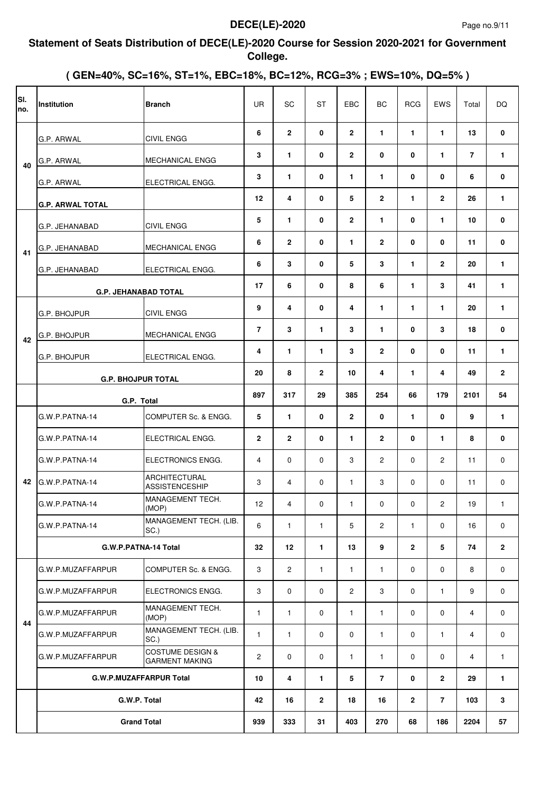#### **Statement of Seats Distribution of DECE(LE)-2020 Course for Session 2020-2021 for Government College.**

| lsı.<br>no. | <b>Institution</b>      | <b>Branch</b>                                        | <b>UR</b>      | SC             | <b>ST</b>      | EBC            | BC             | <b>RCG</b>     | EWS            | Total          | <b>DQ</b>      |
|-------------|-------------------------|------------------------------------------------------|----------------|----------------|----------------|----------------|----------------|----------------|----------------|----------------|----------------|
|             | G.P. ARWAL              | <b>CIVIL ENGG</b>                                    | 6              | $\mathbf{2}$   | 0              | $\mathbf{2}$   | $\mathbf{1}$   | 1              | 1              | 13             | 0              |
| 40          | G.P. ARWAL              | MECHANICAL ENGG                                      | 3              | $\mathbf{1}$   | 0              | $\mathbf{2}$   | 0              | $\bf{0}$       | 1              | $\overline{7}$ | 1              |
|             | G.P. ARWAL              | ELECTRICAL ENGG.                                     | 3              | $\mathbf{1}$   | 0              | 1              | $\mathbf{1}$   | 0              | 0              | 6              | 0              |
|             | <b>G.P. ARWAL TOTAL</b> |                                                      | 12             | 4              | 0              | 5              | $\mathbf{2}$   | $\mathbf{1}$   | $\overline{2}$ | 26             | 1              |
|             | G.P. JEHANABAD          | <b>CIVIL ENGG</b>                                    | 5              | $\mathbf{1}$   | 0              | $\mathbf{2}$   | $\mathbf{1}$   | 0              | 1              | 10             | 0              |
| 41          | G.P. JEHANABAD          | <b>MECHANICAL ENGG</b>                               | 6              | $\mathbf{2}$   | 0              | $\mathbf{1}$   | $\mathbf{2}$   | $\bf{0}$       | 0              | 11             | 0              |
|             | <b>G.P. JEHANABAD</b>   | ELECTRICAL ENGG.                                     | 6              | 3              | 0              | 5              | 3              | $\blacksquare$ | $\mathbf{2}$   | 20             | $\mathbf{1}$   |
|             |                         | <b>G.P. JEHANABAD TOTAL</b>                          | 17             | 6              | 0              | 8              | 6              | $\mathbf{1}$   | 3              | 41             | 1              |
|             | G.P. BHOJPUR            | <b>CIVIL ENGG</b>                                    | 9              | 4              | 0              | 4              | $\mathbf{1}$   | $\blacksquare$ | 1              | 20             | 1              |
| 42          | G.P. BHOJPUR            | <b>MECHANICAL ENGG</b>                               | $\overline{7}$ | 3              | $\mathbf{1}$   | 3              | $\mathbf{1}$   | 0              | 3              | 18             | 0              |
|             | G.P. BHOJPUR            | ELECTRICAL ENGG.                                     | 4              | $\mathbf{1}$   | $\mathbf{1}$   | 3              | $\mathbf{2}$   | $\mathbf{0}$   | 0              | 11             | 1              |
|             |                         | <b>G.P. BHOJPUR TOTAL</b>                            | 20             | 8              | $\mathbf{2}$   | 10             | 4              | $\mathbf{1}$   | 4              | 49             | 2              |
|             |                         | G.P. Total                                           | 897            | 317            | 29             | 385            | 254            | 66             | 179            | 2101           | 54             |
|             | G.W.P.PATNA-14          | COMPUTER Sc. & ENGG.                                 | 5              | $\mathbf{1}$   | 0              | $\mathbf{2}$   | 0              | $\mathbf{1}$   | $\mathbf{0}$   | 9              | 1              |
|             | G.W.P.PATNA-14          | ELECTRICAL ENGG.                                     | $\overline{2}$ | $\overline{2}$ | 0              | 1.             | $\overline{2}$ | 0              | $\mathbf{1}$   | 8              | 0              |
|             | G.W.P.PATNA-14          | ELECTRONICS ENGG.                                    | 4              | $\Omega$       | $\Omega$       | 3              | $\overline{2}$ | $\Omega$       | 2              | 11             | $\mathbf 0$    |
| 42          | G.W.P.PATNA-14          | <b>ARCHITECTURAL</b><br><b>ASSISTENCESHIP</b>        | 3              | 4              | $\mathbf 0$    | $\mathbf{1}$   | 3              | $\Omega$       | $\Omega$       | 11             | 0              |
|             | G.W.P.PATNA-14          | MANAGEMENT TECH.<br>(MOP)                            | 12             | 4              | 0              | $\mathbf{1}$   | 0              | 0              | $\overline{c}$ | 19             | $\mathbf{1}$   |
|             | G.W.P.PATNA-14          | MANAGEMENT TECH. (LIB.<br>SC.)                       | 6              | $\mathbf{1}$   | $\mathbf{1}$   | 5              | $\mathbf{2}$   | $\mathbf{1}$   | 0              | 16             | 0              |
|             |                         | G.W.P.PATNA-14 Total                                 | 32             | 12             | $\mathbf{1}$   | 13             | 9              | $\overline{2}$ | 5              | 74             | $\overline{2}$ |
|             | G.W.P.MUZAFFARPUR       | COMPUTER Sc. & ENGG.                                 | 3              | $\overline{2}$ | $\mathbf{1}$   | $\mathbf{1}$   | $\mathbf{1}$   | 0              | $\mathbf 0$    | 8              | 0              |
|             | G.W.P.MUZAFFARPUR       | ELECTRONICS ENGG.                                    | 3              | $\mathbf 0$    | $\mathbf 0$    | $\overline{2}$ | 3              | 0              | $\mathbf{1}$   | 9              | 0              |
|             | G.W.P.MUZAFFARPUR       | <b>MANAGEMENT TECH.</b><br>(MOP)                     | $\mathbf{1}$   | $\mathbf{1}$   | 0              | $\mathbf{1}$   | $\mathbf{1}$   | 0              | 0              | 4              | 0              |
| 44          | G.W.P.MUZAFFARPUR       | MANAGEMENT TECH. (LIB.<br>SC.)                       | $\mathbf{1}$   | $\mathbf{1}$   | $\mathbf 0$    | 0              | $\mathbf{1}$   | 0              | $\mathbf{1}$   | 4              | 0              |
|             | G.W.P.MUZAFFARPUR       | <b>COSTUME DESIGN &amp;</b><br><b>GARMENT MAKING</b> | 2              | $\mathbf{0}$   | $\mathbf 0$    | $\mathbf{1}$   | $\mathbf{1}$   | $\mathbf 0$    | $\mathbf 0$    | 4              | $\mathbf{1}$   |
|             |                         | <b>G.W.P.MUZAFFARPUR Total</b>                       | 10             | 4              | $\mathbf{1}$   | 5              | $\overline{7}$ | 0              | $\overline{2}$ | 29             | 1              |
|             |                         | G.W.P. Total                                         | 42             | 16             | $\overline{2}$ | 18             | 16             | $\overline{2}$ | $\overline{7}$ | 103            | 3              |
|             |                         | <b>Grand Total</b>                                   | 939            | 333            | 31             | 403            | 270            | 68             | 186            | 2204           | 57             |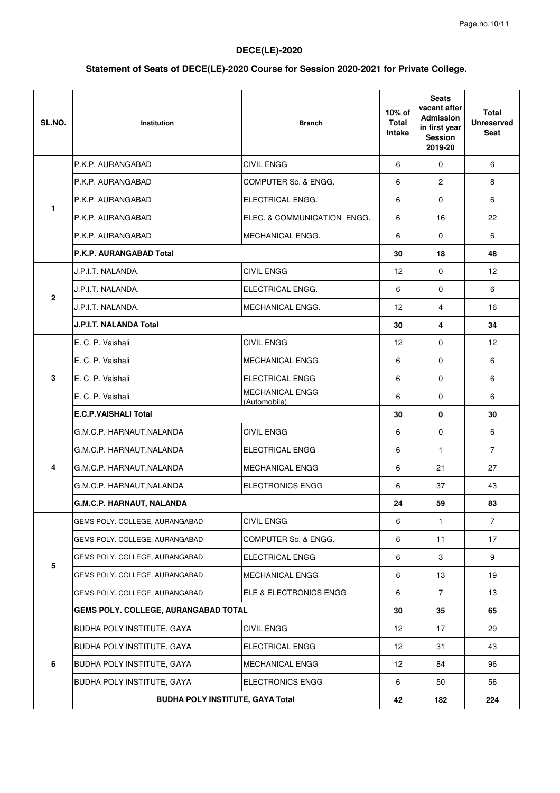# **Statement of Seats of DECE(LE)-2020 Course for Session 2020-2021 for Private College.**

| SL.NO.         | Institution                                 | <b>Branch</b>                          | 10% of<br><b>Total</b><br>Intake | <b>Seats</b><br>vacant after<br><b>Admission</b><br>in first year<br><b>Session</b><br>2019-20 | Total<br><b>Unreserved</b><br>Seat |
|----------------|---------------------------------------------|----------------------------------------|----------------------------------|------------------------------------------------------------------------------------------------|------------------------------------|
|                | P.K.P. AURANGABAD                           | <b>CIVIL ENGG</b>                      | 6                                | $\Omega$                                                                                       | 6                                  |
|                | P.K.P. AURANGABAD                           | COMPUTER Sc. & ENGG.                   | 6                                | $\overline{2}$                                                                                 | 8                                  |
|                | P.K.P. AURANGABAD                           | ELECTRICAL ENGG.                       | 6                                | $\mathbf 0$                                                                                    | 6                                  |
| $\mathbf{1}$   | P.K.P. AURANGABAD                           | ELEC. & COMMUNICATION ENGG.            | 6                                | 16                                                                                             | 22                                 |
|                | P.K.P. AURANGABAD                           | <b>MECHANICAL ENGG.</b>                | 6                                | $\mathbf 0$                                                                                    | 6                                  |
|                | P.K.P. AURANGABAD Total                     |                                        | 30                               | 18                                                                                             | 48                                 |
|                | J.P.I.T. NALANDA.                           | <b>CIVIL ENGG</b>                      | 12                               | $\mathbf 0$                                                                                    | 12 <sup>2</sup>                    |
|                | J.P.I.T. NALANDA.                           | ELECTRICAL ENGG.                       | 6                                | $\mathbf 0$                                                                                    | 6                                  |
| $\overline{2}$ | J.P.I.T. NALANDA.                           | MECHANICAL ENGG.                       | 12                               | 4                                                                                              | 16                                 |
|                | J.P.I.T. NALANDA Total                      |                                        | 30                               | 4                                                                                              | 34                                 |
|                | E. C. P. Vaishali                           | <b>CIVIL ENGG</b>                      | 12                               | $\mathbf 0$                                                                                    | 12                                 |
|                | E. C. P. Vaishali                           | <b>MECHANICAL ENGG</b>                 | 6                                | $\mathbf 0$                                                                                    | 6                                  |
| 3              | E. C. P. Vaishali                           | <b>ELECTRICAL ENGG</b>                 | 6                                | $\mathbf 0$                                                                                    | 6                                  |
|                | E. C. P. Vaishali                           | <b>MECHANICAL ENGG</b><br>(Automobile) | 6                                | $\mathbf 0$                                                                                    | 6                                  |
|                | <b>E.C.P.VAISHALI Total</b>                 |                                        | 30                               | 0                                                                                              | 30                                 |
|                | G.M.C.P. HARNAUT, NALANDA                   | <b>CIVIL ENGG</b>                      | 6                                | $\mathbf 0$                                                                                    | 6                                  |
|                | G.M.C.P. HARNAUT, NALANDA                   | ELECTRICAL ENGG                        | 6                                | 1                                                                                              | $\overline{7}$                     |
| 4              | G.M.C.P. HARNAUT, NALANDA                   | MECHANICAL ENGG                        | 6                                | 21                                                                                             | 27                                 |
|                | G.M.C.P. HARNAUT, NALANDA                   | <b>ELECTRONICS ENGG</b>                | 6                                | 37                                                                                             | 43                                 |
|                | G.M.C.P. HARNAUT, NALANDA                   |                                        | 24                               | 59                                                                                             | 83                                 |
|                | GEMS POLY. COLLEGE, AURANGABAD              | <b>CIVIL ENGG</b>                      | 6                                | $\mathbf{1}$                                                                                   | $\overline{7}$                     |
|                | GEMS POLY. COLLEGE, AURANGABAD              | COMPUTER Sc. & ENGG.                   | 6                                | 11                                                                                             | 17                                 |
| ${\bf 5}$      | GEMS POLY. COLLEGE, AURANGABAD              | <b>ELECTRICAL ENGG</b>                 | 6                                | 3                                                                                              | 9                                  |
|                | GEMS POLY. COLLEGE, AURANGABAD              | MECHANICAL ENGG                        | 6                                | 13                                                                                             | 19                                 |
|                | GEMS POLY. COLLEGE, AURANGABAD              | ELE & ELECTRONICS ENGG                 | 6                                | $\overline{7}$                                                                                 | 13                                 |
|                | <b>GEMS POLY. COLLEGE, AURANGABAD TOTAL</b> |                                        | 30                               | 35                                                                                             | 65                                 |
|                | BUDHA POLY INSTITUTE, GAYA                  | CIVIL ENGG                             | 12                               | 17                                                                                             | 29                                 |
|                | BUDHA POLY INSTITUTE, GAYA                  | <b>ELECTRICAL ENGG</b>                 | 12                               | 31                                                                                             | 43                                 |
| 6              | BUDHA POLY INSTITUTE, GAYA                  | <b>MECHANICAL ENGG</b>                 | 12                               | 84                                                                                             | 96                                 |
|                | BUDHA POLY INSTITUTE, GAYA                  | <b>ELECTRONICS ENGG</b>                | 6                                | 50                                                                                             | 56                                 |
|                | <b>BUDHA POLY INSTITUTE, GAYA Total</b>     |                                        | 42                               | 182                                                                                            | 224                                |